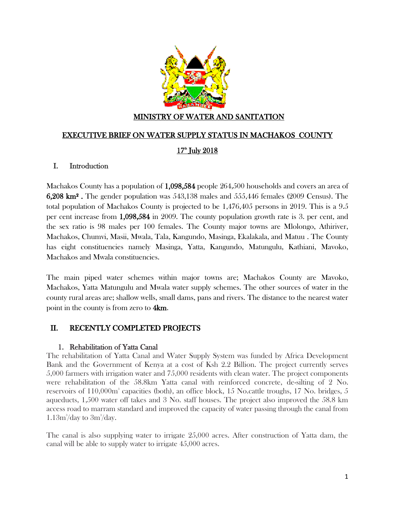

### MINISTRY OF WATER AND SANITATION

#### EXECUTIVE BRIEF ON WATER SUPPLY STATUS IN MACHAKOS COUNTY

## 17<sup>th</sup> July 2018

#### I. Introduction

Machakos County has a population of 1,098,584 people 264,500 households and covers an area of 6,208 km² . The gender population was 543,138 males and 555,446 females (2009 Census). The total population of Machakos County is projected to be 1,476,405 persons in 2019. This is a 9.5 per cent increase from 1,098,584 in 2009. The county population growth rate is 3. per cent, and the sex ratio is 98 males per 100 females. The County major towns are Mlolongo, Athiriver, Machakos, Chumvi, Masii, Mwala, Tala, Kangundo, Masinga, Ekalakala, and Matuu . The County has eight constituencies namely Masinga, Yatta, Kangundo, Matungulu, Kathiani, Mavoko, Machakos and Mwala constituencies.

The main piped water schemes within major towns are; Machakos County are Mavoko, Machakos, Yatta Matungulu and Mwala water supply schemes. The other sources of water in the county rural areas are; shallow wells, small dams, pans and rivers. The distance to the nearest water point in the county is from zero to 4km.

## II. RECENTLY COMPLETED PROJECTS

#### 1. Rehabilitation of Yatta Canal

The rehabilitation of Yatta Canal and Water Supply System was funded by Africa Development Bank and the Government of Kenya at a cost of Ksh 2.2 Billion. The project currently serves 5,000 farmers with irrigation water and 75,000 residents with clean water. The project components were rehabilitation of the 58.8km Yatta canal with reinforced concrete, de-silting of 2 No. reservoirs of 110,000m<sup>3</sup> capacities (both), an office block, 15 No.cattle troughs, 17 No. bridges, 5 aqueducts, 1,500 water off takes and 3 No. staff houses. The project also improved the 58.8 km access road to marram standard and improved the capacity of water passing through the canal from  $1.13m^3$ /day to  $3m^3$ /day.

The canal is also supplying water to irrigate 25,000 acres. After construction of Yatta dam, the canal will be able to supply water to irrigate 45,000 acres.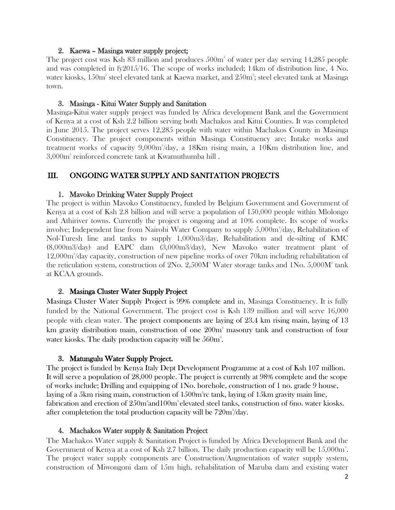#### 2. Kaewa – Masinga water supply project;

The project cost was Ksh 83 million and produces  $500<sup>m</sup>$  of water per day serving 14,285 people and was completed in fy2015/16. The scope of works included; 14km of distribution line, 4 No. water kiosks,  $150\mathrm{m}^{\mathrm{s}}$  steel elevated tank at Kaewa market, and  $250\mathrm{m}^{\mathrm{s}}$ ; steel elevated tank at Masinga town.

### 3. Masinga - Kitui Water Supply and Sanitation

Masinga-Kitui water supply project was funded by Africa development Bank and the Government of Kenya at a cost of Ksh 2.2 billion serving both Machakos and Kitui Counties. It was completed in June 2015. The project serves 12,285 people with water within Machakos County in Masinga Constituency. The project components within Masinga Constituency are; Intake works and treatment works of capacity  $9,000\text{m}^3/\text{day}$ , a 18Km rising main, a 10Km distribution line, and 3,000m<sup>3</sup> reinforced concrete tank at Kwamuthumba hill .

# III. ONGOING WATER SUPPLY AND SANITATION PROJECTS

## 1. Mavoko Drinking Water Supply Project

The project is within Mavoko Constituency, funded by Belgium Government and Government of Kenya at a cost of Ksh 2.8 billion and will serve a population of 150,000 people within Mlolongo and Athiriver towns. Currently the project is ongoing and at 10% complete. Its scope of works involve; Independent line from Nairobi Water Company to supply 5,000m<sup>3</sup>/day, Rehabilitation of Nol-Turesh line and tanks to supply 1,000m3/day, Rehabilitation and de-silting of KMC (8,000m3/day) and EAPC dam (3,000m3/day), New Mavoko water treatment plant of 12,000m<sup>3</sup>/day capacity, construction of new pipeline works of over 70km including rehabilitation of the reticulation system, construction of  $2No. 2,500M^3$  Water storage tanks and  $1No. 5,000M^3$  tank at KCAA grounds.

## 2. Masinga Cluster Water Supply Project

Masinga Cluster Water Supply Project is 99% complete and in, Masinga Constituency. It is fully funded by the National Government. The project cost is Ksh 139 million and will serve 16,000 people with clean water. The project components are laying of 23.4 km rising main, laying of 13 km gravity distribution main, construction of one  $200<sup>m</sup>$  masonry tank and construction of four water kiosks. The daily production capacity will be  $560\mathrm{m}^3$ .

## 3. Matungulu Water Supply Project.

The project is funded by Kenya Italy Dept Development Programme at a cost of Ksh 107 million. It will serve a population of 28,000 people. The project is currently at 98% complete and the scope of works include; Drilling and equipping of 1No. borehole, construction of 1 no. grade 9 house, laying of a 5km rising main, construction of  $1500m<sup>3</sup>$ rc tank, laying of  $15km$  gravity main line, fabrication and erection of  $250\mathrm{m}^3$ and $100\mathrm{m}^3$ elevated steel tanks, construction of 6no. water kiosks. after completetion the total production capacity will be  $720\mathrm{m}^{\mathrm{s}}/\mathrm{day}.$ 

### 4. Machakos Water supply & Sanitation Project

The Machakos Water supply & Sanitation Project is funded by Africa Development Bank and the Government of Kenya at a cost of Ksh 2.7 billion. The daily production capacity will be  $15,000m^3$ . The project water supply components are Construction/Augmentation of water supply system, construction of Miwongoni dam of 15m high, rehabilitation of Maruba dam and existing water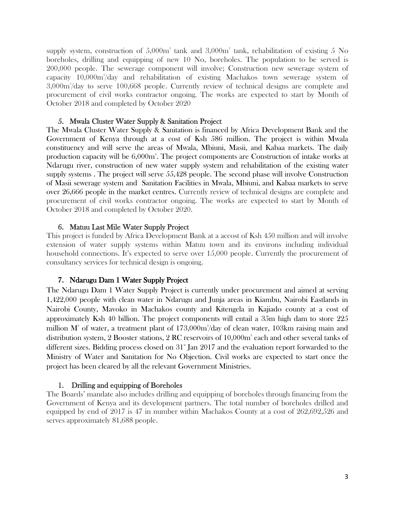supply system, construction of  $5,000m^3$  tank and  $3,000m^3$  tank, rehabilitation of existing 5 No boreholes, drilling and equipping of new 10 No, boreholes. The population to be served is 200,000 people. The sewerage component will involve; Construction new sewerage system of capacity 10,000m<sup>3</sup>/day and rehabilitation of existing Machakos town sewerage system of 3,000m<sup>3</sup> /day to serve 100,668 people. Currently review of technical designs are complete and procurement of civil works contractor ongoing. The works are expected to start by Month of October 2018 and completed by October 2020

#### 5. Mwala Cluster Water Supply & Sanitation Project

The Mwala Cluster Water Supply & Sanitation is financed by Africa Development Bank and the Government of Kenya through at a cost of Ksh 586 million. The project is within Mwala constituency and will serve the areas of Mwala, Mbiuni, Masii, and Kabaa markets. The daily production capacity will be 6,000m<sup>3</sup>. The project components are Construction of intake works at Ndarugu river, construction of new water supply system and rehabilitation of the existing water supply systems . The project will serve 55,428 people. The second phase will involve Construction of Masii sewerage system and Sanitation Facilities in Mwala, Mbiuni, and Kabaa markets to serve over 26,666 people in the market centres. Currently review of technical designs are complete and procurement of civil works contractor ongoing. The works are expected to start by Month of October 2018 and completed by October 2020.

### 6. Matuu Last Mile Water Supply Project

This project is funded by Africa Development Bank at a accost of Ksh 450 million and will involve extension of water supply systems within Matuu town and its environs including individual household connections. It's expected to serve over 15,000 people. Currently the procurement of consultancy services for technical design is ongoing.

### 7. Ndarugu Dam 1 Water Supply Project

The Ndarugu Dam 1 Water Supply Project is currently under procurement and aimed at serving 1,422,000 people with clean water in Ndarugu and Junja areas in Kiambu, Nairobi Eastlands in Nairobi County, Mavoko in Machakos county and Kitengela in Kajiado county at a cost of approximately Ksh 40 billion. The project components will entail a 35m high dam to store 225 million  $M^3$  of water, a treatment plant of  $173,000m^3$ /day of clean water,  $103km$  raising main and distribution system,  $2$  Booster stations,  $2$  RC reservoirs of  $10{,}000\mathrm{m}^{\mathrm{s}}$  each and other several tanks of different sizes. Bidding process closed on  $31<sup>*</sup>$  Jan 2017 and the evaluation report forwarded to the Ministry of Water and Sanitation for No Objection. Civil works are expected to start once the project has been cleared by all the relevant Government Ministries.

#### 1. Drilling and equipping of Boreholes

The Boards' mandate also includes drilling and equipping of boreholes through financing from the Government of Kenya and its development partners. The total number of boreholes drilled and equipped by end of 2017 is 47 in number within Machakos County at a cost of 262,692,526 and serves approximately 81,688 people.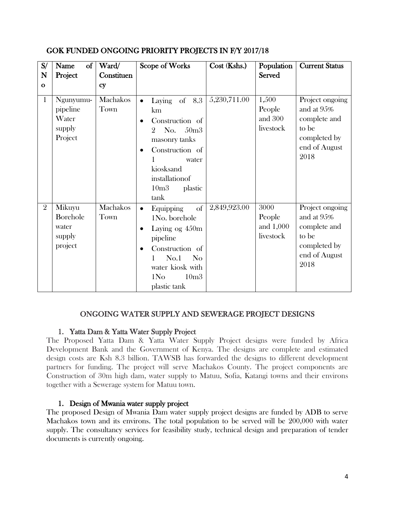| S/<br>N<br>$\mathbf{o}$ | $\sigma$<br>Name<br>Project                         | Ward/<br>Constituen<br><b>Cy</b> | Scope of Works                                                                                                                                                                                                          | Cost (Kshs.) | Population<br><b>Served</b>              | <b>Current Status</b>                                                                           |
|-------------------------|-----------------------------------------------------|----------------------------------|-------------------------------------------------------------------------------------------------------------------------------------------------------------------------------------------------------------------------|--------------|------------------------------------------|-------------------------------------------------------------------------------------------------|
| $\mathbf{1}$            | Ngunyumu-<br>pipeline<br>Water<br>supply<br>Project | Machakos<br>Town                 | of 8.3<br>Laying<br>$\bullet$<br>km<br>Construction of<br>50 <sub>m3</sub><br>No.<br>9.<br>masonry tanks<br>Construction of<br>1<br>water<br>kiosksand<br>installationof<br>10 <sub>m3</sub><br>plastic<br>tank         | 5,230,711.00 | 1,500<br>People<br>and 300<br>livestock  | Project ongoing<br>and at 95%<br>complete and<br>to be<br>completed by<br>end of August<br>2018 |
| $\overline{2}$          | Mikuyu<br>Borehole<br>water<br>supply<br>project    | Machakos<br>Town                 | of<br>Equipping<br>$\bullet$<br>1No. borehole<br>Laying og $450m$<br>$\bullet$<br>pipeline<br>Construction of<br>No.1<br>N <sub>o</sub><br>1<br>water kiosk with<br>1N <sub>O</sub><br>10 <sub>m3</sub><br>plastic tank | 2,849,923.00 | 3000<br>People<br>and 1,000<br>livestock | Project ongoing<br>and at 95%<br>complete and<br>to be<br>completed by<br>end of August<br>2018 |

## GOK FUNDED ONGOING PRIORITY PROJECTS IN F/Y 2017/18

### ONGOING WATER SUPPLY AND SEWERAGE PROJECT DESIGNS

### 1. Yatta Dam & Yatta Water Supply Project

The Proposed Yatta Dam & Yatta Water Supply Project designs were funded by Africa Development Bank and the Government of Kenya. The designs are complete and estimated design costs are Ksh 8.3 billion. TAWSB has forwarded the designs to different development partners for funding. The project will serve Machakos County. The project components are Construction of 30m high dam, water supply to Matuu, Sofia, Katangi towns and their environs together with a Sewerage system for Matuu town.

### 1. Design of Mwania water supply project

The proposed Design of Mwania Dam water supply project designs are funded by ADB to serve Machakos town and its environs. The total population to be served will be 200,000 with water supply. The consultancy services for feasibility study, technical design and preparation of tender documents is currently ongoing.